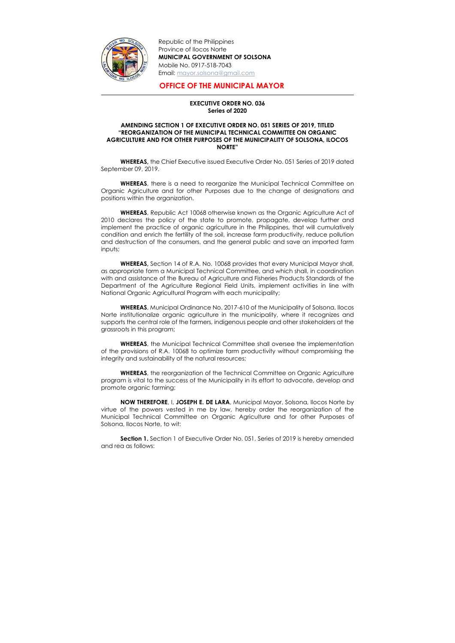

-

Republic of the Philippines Province of Ilocos Norte MUNICIPAL GOVERNMENT OF SOLSONA Mobile No. 0917-518-7043 Email: mayor.solsona@gmail.com

## OFFICE OF THE MUNICIPAL MAYOR

## EXECUTIVE ORDER NO. 036 Series of 2020

## AMENDING SECTION 1 OF EXECUTIVE ORDER NO. 051 SERIES OF 2019, TITLED "REORGANIZATION OF THE MUNICIPAL TECHNICAL COMMITTEE ON ORGANIC AGRICULTURE AND FOR OTHER PURPOSES OF THE MUNICIPALITY OF SOLSONA, ILOCOS NORTE"

WHEREAS, there is a need to reorganize the Municipal Technical Committee on Organic Agriculture and for other Purposes due to the change of designations and positions within the organization.

WHEREAS, the Chief Executive issued Executive Order No. 051 Series of 2019 dated September 09, 2019.

WHEREAS, Republic Act 10068 otherwise known as the Organic Agriculture Act of 2010 declares the policy of the state to promote, propagate, develop further and implement the practice of organic agriculture in the Philippines, that will cumulatively condition and enrich the fertility of the soil, increase farm productivity, reduce pollution and destruction of the consumers, and the general public and save an imported farm inputs;

**Section 1.** Section 1 of Executive Order No. 051, Series of 2019 is hereby amended and rea as follows:

WHEREAS, Section 14 of R.A. No. 10068 provides that every Municipal Mayor shall, as appropriate form a Municipal Technical Committee, and which shall, in coordination with and assistance of the Bureau of Agriculture and Fisheries Products Standards of the Department of the Agriculture Regional Field Units, implement activities in line with National Organic Agricultural Program with each municipality;

WHEREAS, Municipal Ordinance No. 2017-610 of the Municipality of Solsona, Ilocos Norte institutionalize organic agriculture in the municipality, where it recognizes and supports the central role of the farmers, indigenous people and other stakeholders at the grassroots in this program;

WHEREAS, the Municipal Technical Committee shall oversee the implementation of the provisions of R.A. 10068 to optimize farm productivity without compromising the integrity and sustainability of the natural resources;

WHEREAS, the reorganization of the Technical Committee on Organic Agriculture program is vital to the success of the Municipality in its effort to advocate, develop and promote organic farming;

NOW THEREFORE, I, JOSEPH E. DE LARA, Municipal Mayor, Solsona, Ilocos Norte by virtue of the powers vested in me by law, hereby order the reorganization of the Municipal Technical Committee on Organic Agriculture and for other Purposes of Solsona, Ilocos Norte, to wit: